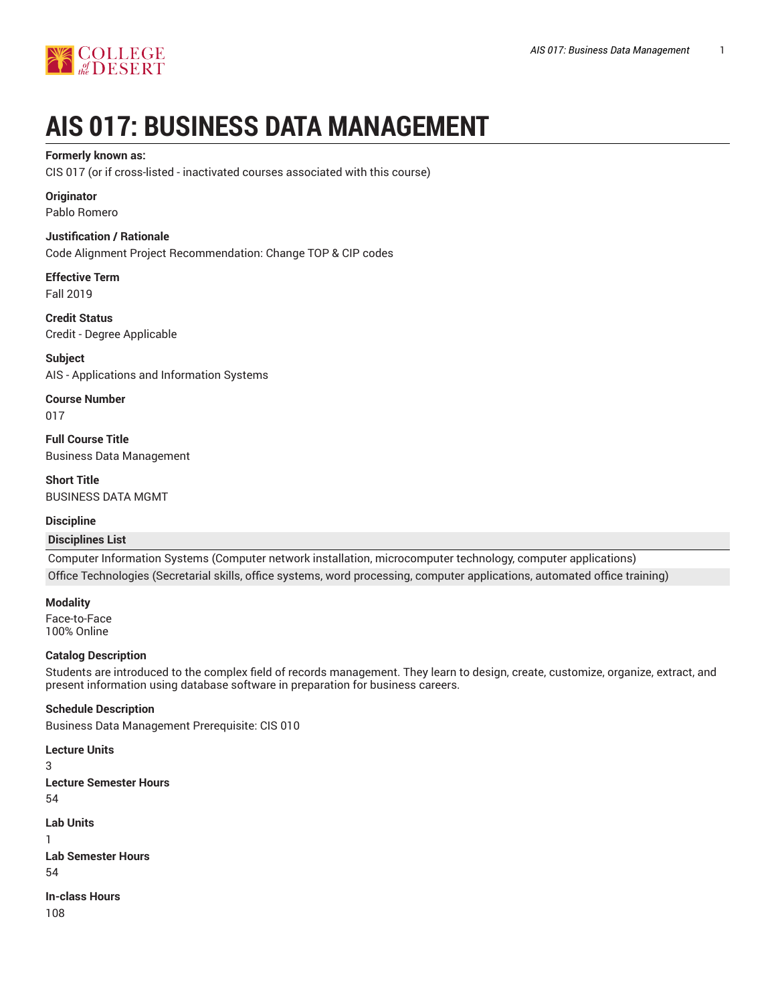

# **AIS 017: BUSINESS DATA MANAGEMENT**

## **Formerly known as:**

CIS 017 (or if cross-listed - inactivated courses associated with this course)

## **Originator**

Pablo Romero

## **Justification / Rationale**

Code Alignment Project Recommendation: Change TOP & CIP codes

**Effective Term** Fall 2019

**Credit Status** Credit - Degree Applicable

**Subject** AIS - Applications and Information Systems

**Course Number** 017

**Full Course Title** Business Data Management

**Short Title** BUSINESS DATA MGMT

# **Discipline**

## **Disciplines List**

Computer Information Systems (Computer network installation, microcomputer technology, computer applications) Office Technologies (Secretarial skills, office systems, word processing, computer applications, automated office training)

**Modality**

Face-to-Face 100% Online

# **Catalog Description**

Students are introduced to the complex field of records management. They learn to design, create, customize, organize, extract, and present information using database software in preparation for business careers.

# **Schedule Description**

Business Data Management Prerequisite: CIS 010

```
Lecture Units
3
Lecture Semester Hours
54
Lab Units
1
Lab Semester Hours
54
In-class Hours
108
```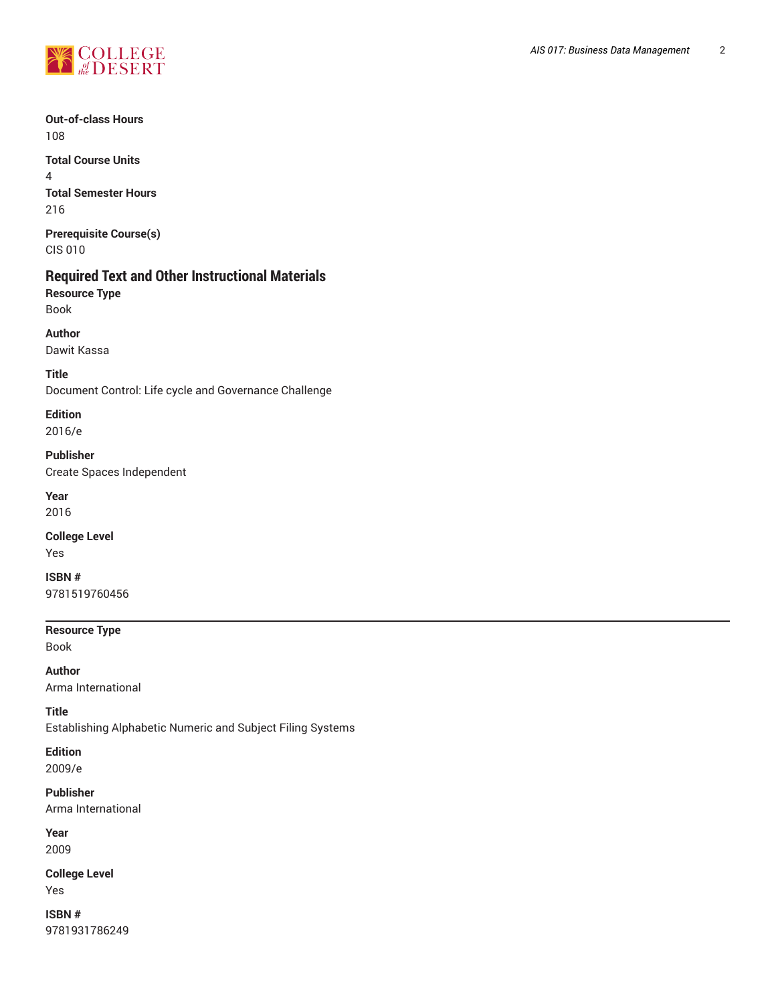

**Out-of-class Hours** 108

**Total Course Units** 4 **Total Semester Hours** 216

**Prerequisite Course(s)** CIS 010

# **Required Text and Other Instructional Materials**

**Resource Type** Book

**Author**

Dawit Kassa

**Title**

Document Control: Life cycle and Governance Challenge

**Edition** 2016/e

**Publisher**

Create Spaces Independent

**Year** 2016

**College Level** Yes

**ISBN #** 9781519760456

**Resource Type**

Book

**Author** Arma International

**Title**

Establishing Alphabetic Numeric and Subject Filing Systems

**Edition**

2009/e

**Publisher** Arma International

**Year** 2009

**College Level** Yes

**ISBN #** 9781931786249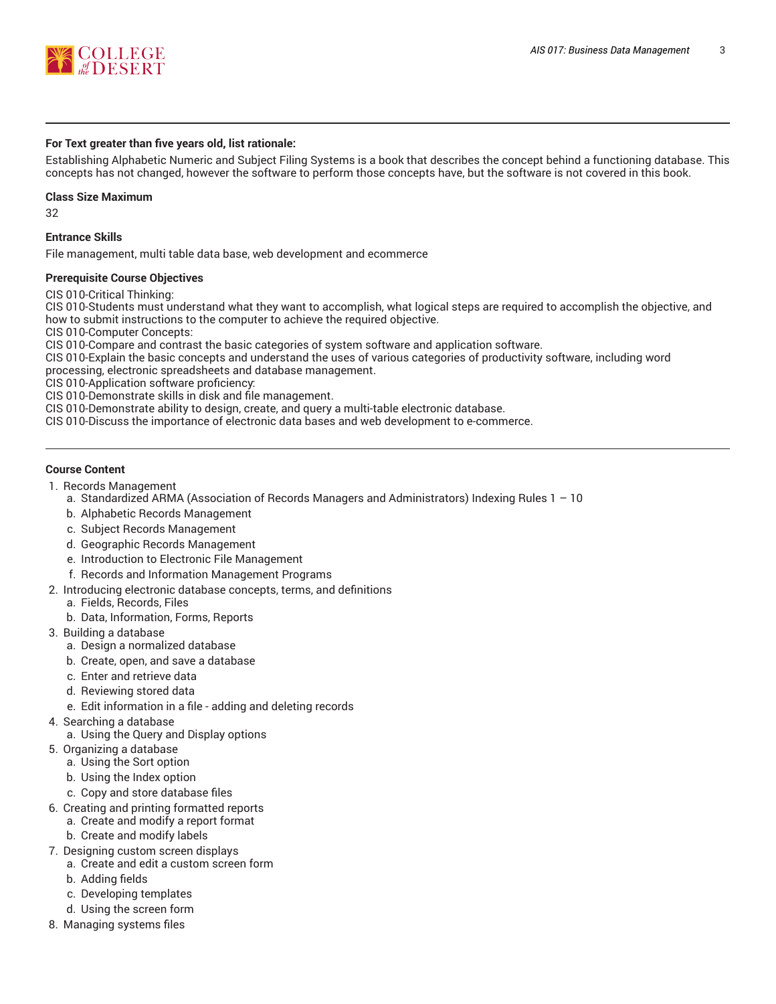

## **For Text greater than five years old, list rationale:**

Establishing Alphabetic Numeric and Subject Filing Systems is a book that describes the concept behind a functioning database. This concepts has not changed, however the software to perform those concepts have, but the software is not covered in this book.

#### **Class Size Maximum**

32

## **Entrance Skills**

File management, multi table data base, web development and ecommerce

## **Prerequisite Course Objectives**

CIS 010-Critical Thinking:

CIS 010-Students must understand what they want to accomplish, what logical steps are required to accomplish the objective, and how to submit instructions to the computer to achieve the required objective.

CIS 010-Computer Concepts:

CIS 010-Compare and contrast the basic categories of system software and application software.

CIS 010-Explain the basic concepts and understand the uses of various categories of productivity software, including word processing, electronic spreadsheets and database management.

CIS 010-Application software proficiency:

CIS 010-Demonstrate skills in disk and file management.

CIS 010-Demonstrate ability to design, create, and query a multi-table electronic database.

CIS 010-Discuss the importance of electronic data bases and web development to e-commerce.

## **Course Content**

- 1. Records Management
	- a. Standardized ARMA (Association of Records Managers and Administrators) Indexing Rules 1 10
	- b. Alphabetic Records Management
	- c. Subject Records Management
	- d. Geographic Records Management
	- e. Introduction to Electronic File Management
	- f. Records and Information Management Programs
- 2. Introducing electronic database concepts, terms, and definitions
	- a. Fields, Records, Files
	- b. Data, Information, Forms, Reports
- 3. Building a database
	- a. Design a normalized database
	- b. Create, open, and save a database
	- c. Enter and retrieve data
	- d. Reviewing stored data
	- e. Edit information in a file adding and deleting records
- 4. Searching a database
	- a. Using the Query and Display options
- 5. Organizing a database
	- a. Using the Sort option
	- b. Using the Index option
	- c. Copy and store database files
- 6. Creating and printing formatted reports
	- a. Create and modify a report format
	- b. Create and modify labels
- 7. Designing custom screen displays
	- a. Create and edit a custom screen form
	- b. Adding fields
	- c. Developing templates
	- d. Using the screen form
- 8. Managing systems files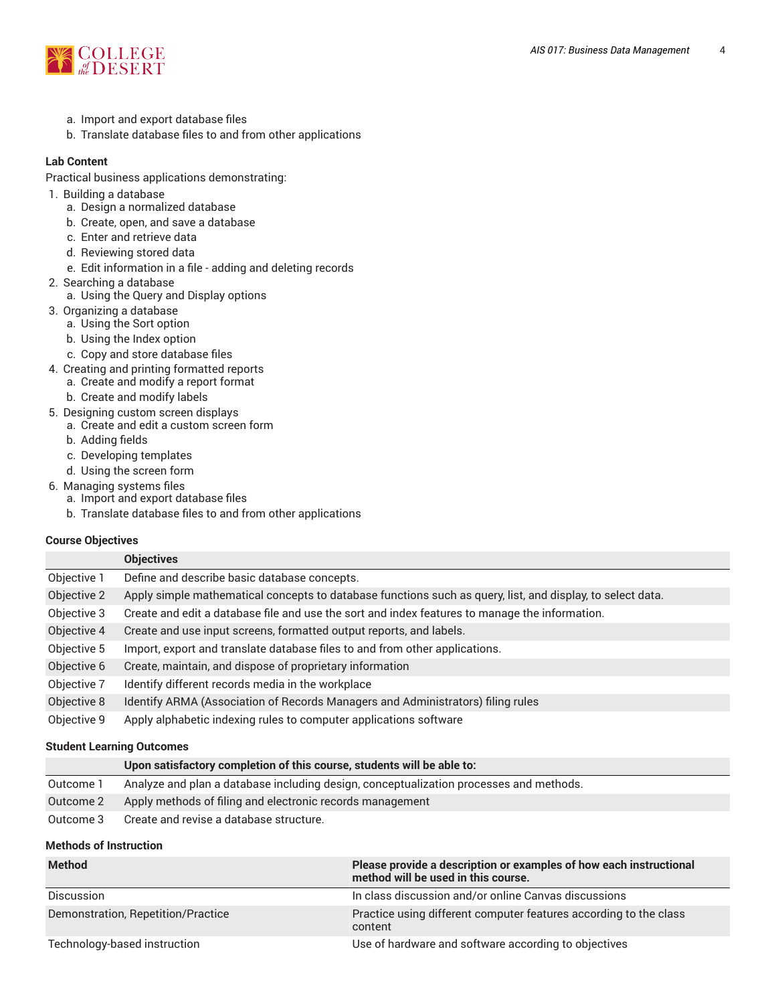

- a. Import and export database files
- b. Translate database files to and from other applications

# **Lab Content**

Practical business applications demonstrating:

- 1. Building a database
	- a. Design a normalized database
	- b. Create, open, and save a database
	- c. Enter and retrieve data
	- d. Reviewing stored data
	- e. Edit information in a file adding and deleting records
- 2. Searching a database
	- a. Using the Query and Display options
- 3. Organizing a database
	- a. Using the Sort option
	- b. Using the Index option
- c. Copy and store database files
- 4. Creating and printing formatted reports a. Create and modify a report format
	- b. Create and modify labels
- 5. Designing custom screen displays
	- a. Create and edit a custom screen form
	- b. Adding fields
	- c. Developing templates
	- d. Using the screen form
- 6. Managing systems files
	- a. Import and export database files
	- b. Translate database files to and from other applications

## **Course Objectives**

|             | <b>Objectives</b>                                                                                          |
|-------------|------------------------------------------------------------------------------------------------------------|
| Objective 1 | Define and describe basic database concepts.                                                               |
| Objective 2 | Apply simple mathematical concepts to database functions such as query, list, and display, to select data. |
| Objective 3 | Create and edit a database file and use the sort and index features to manage the information.             |
| Objective 4 | Create and use input screens, formatted output reports, and labels.                                        |
| Objective 5 | Import, export and translate database files to and from other applications.                                |
| Objective 6 | Create, maintain, and dispose of proprietary information                                                   |
| Objective 7 | Identify different records media in the workplace                                                          |
| Objective 8 | Identify ARMA (Association of Records Managers and Administrators) filing rules                            |
| Objective 9 | Apply alphabetic indexing rules to computer applications software                                          |

## **Student Learning Outcomes**

|           | Upon satisfactory completion of this course, students will be able to:                 |
|-----------|----------------------------------------------------------------------------------------|
| Outcome 1 | Analyze and plan a database including design, conceptualization processes and methods. |
| Outcome 2 | Apply methods of filing and electronic records management                              |
| Outcome 3 | Create and revise a database structure.                                                |

## **Methods of Instruction**

| <b>Method</b>                      | Please provide a description or examples of how each instructional<br>method will be used in this course. |
|------------------------------------|-----------------------------------------------------------------------------------------------------------|
| Discussion                         | In class discussion and/or online Canvas discussions                                                      |
| Demonstration, Repetition/Practice | Practice using different computer features according to the class<br>content                              |
| Technology-based instruction       | Use of hardware and software according to objectives                                                      |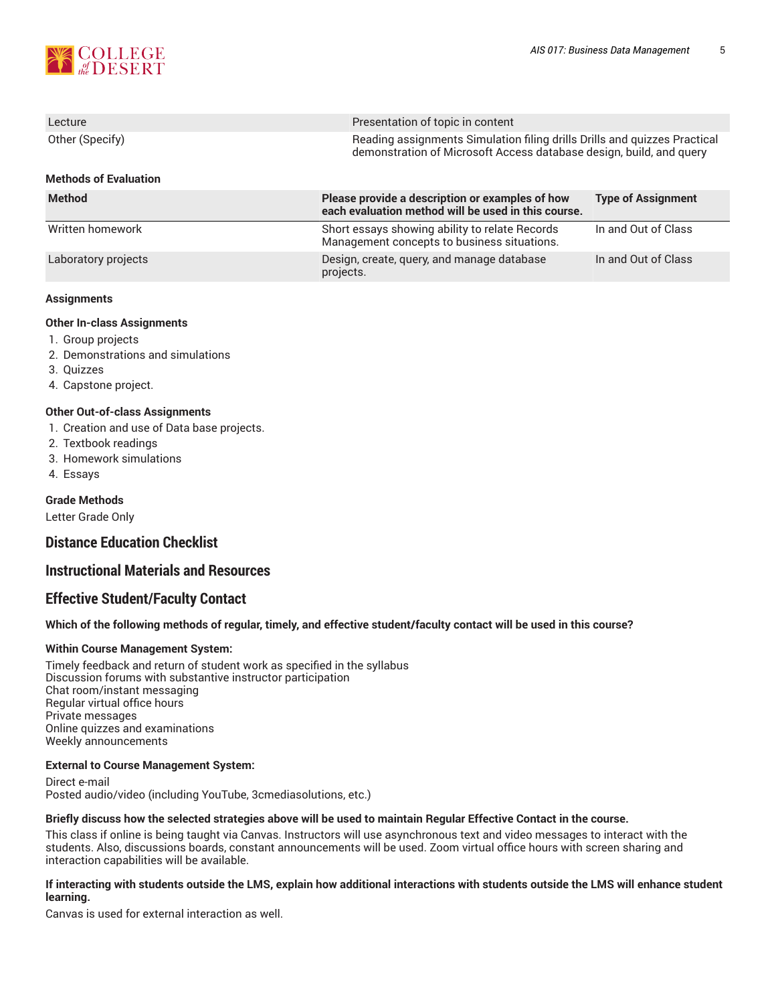

| Lecture                      | Presentation of topic in content                                                                                                                 |                           |  |
|------------------------------|--------------------------------------------------------------------------------------------------------------------------------------------------|---------------------------|--|
| Other (Specify)              | Reading assignments Simulation filing drills Drills and quizzes Practical<br>demonstration of Microsoft Access database design, build, and query |                           |  |
| <b>Methods of Evaluation</b> |                                                                                                                                                  |                           |  |
| <b>Method</b>                | Please provide a description or examples of how<br>each evaluation method will be used in this course.                                           | <b>Type of Assignment</b> |  |
| Written homework             | Short essays showing ability to relate Records<br>Management concepts to business situations.                                                    | In and Out of Class       |  |
| Laboratory projects          | Design, create, query, and manage database                                                                                                       | In and Out of Class       |  |

projects.

## **Assignments**

## **Other In-class Assignments**

- 1. Group projects
- 2. Demonstrations and simulations
- 3. Quizzes
- 4. Capstone project.

#### **Other Out-of-class Assignments**

- 1. Creation and use of Data base projects.
- 2. Textbook readings
- 3. Homework simulations
- 4. Essays

#### **Grade Methods**

Letter Grade Only

# **Distance Education Checklist**

# **Instructional Materials and Resources**

# **Effective Student/Faculty Contact**

Which of the following methods of regular, timely, and effective student/faculty contact will be used in this course?

## **Within Course Management System:**

Timely feedback and return of student work as specified in the syllabus Discussion forums with substantive instructor participation Chat room/instant messaging Regular virtual office hours Private messages Online quizzes and examinations Weekly announcements

#### **External to Course Management System:**

Direct e-mail Posted audio/video (including YouTube, 3cmediasolutions, etc.)

#### Briefly discuss how the selected strategies above will be used to maintain Regular Effective Contact in the course.

This class if online is being taught via Canvas. Instructors will use asynchronous text and video messages to interact with the students. Also, discussions boards, constant announcements will be used. Zoom virtual office hours with screen sharing and interaction capabilities will be available.

#### **If interacting with students outside the LMS, explain how additional interactions with students outside the LMS will enhance student learning.**

Canvas is used for external interaction as well.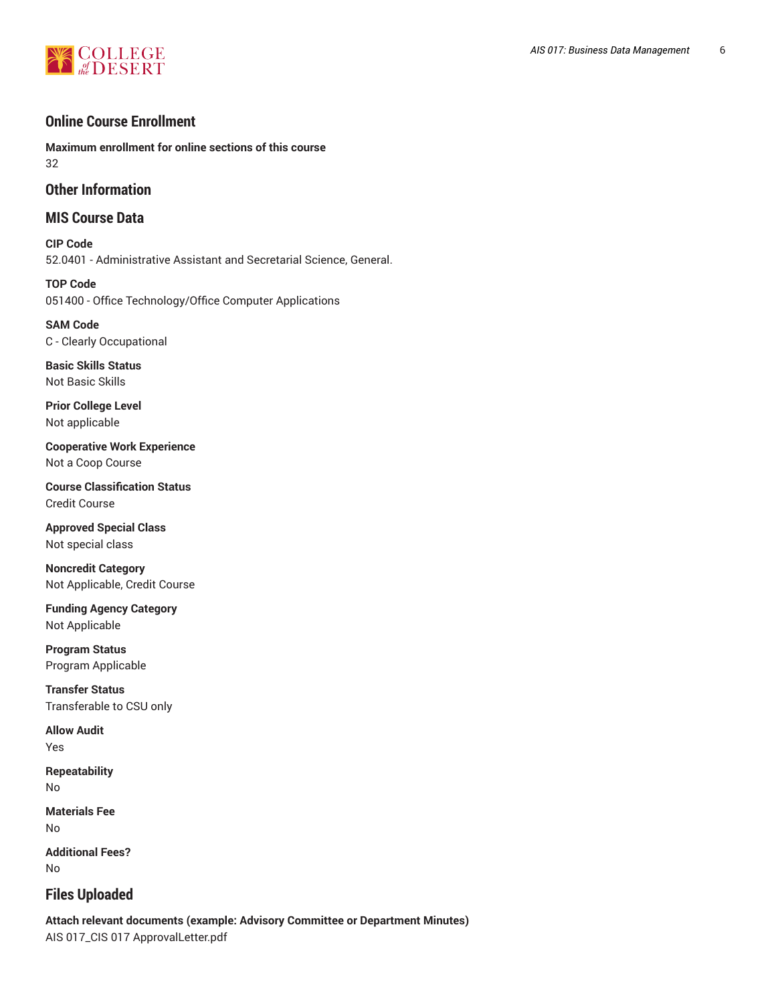# **EN COLLEGE**

# **Online Course Enrollment**

**Maximum enrollment for online sections of this course** 32

# **Other Information**

# **MIS Course Data**

**CIP Code** 52.0401 - Administrative Assistant and Secretarial Science, General.

**TOP Code** 051400 - Office Technology/Office Computer Applications

**SAM Code** C - Clearly Occupational

**Basic Skills Status** Not Basic Skills

**Prior College Level** Not applicable

**Cooperative Work Experience** Not a Coop Course

**Course Classification Status** Credit Course

**Approved Special Class** Not special class

**Noncredit Category** Not Applicable, Credit Course

**Funding Agency Category** Not Applicable

**Program Status** Program Applicable

**Transfer Status** Transferable to CSU only

**Allow Audit** Yes

**Repeatability** No

**Materials Fee** No

**Additional Fees?** No

# **Files Uploaded**

**Attach relevant documents (example: Advisory Committee or Department Minutes)** AIS 017\_CIS 017 ApprovalLetter.pdf